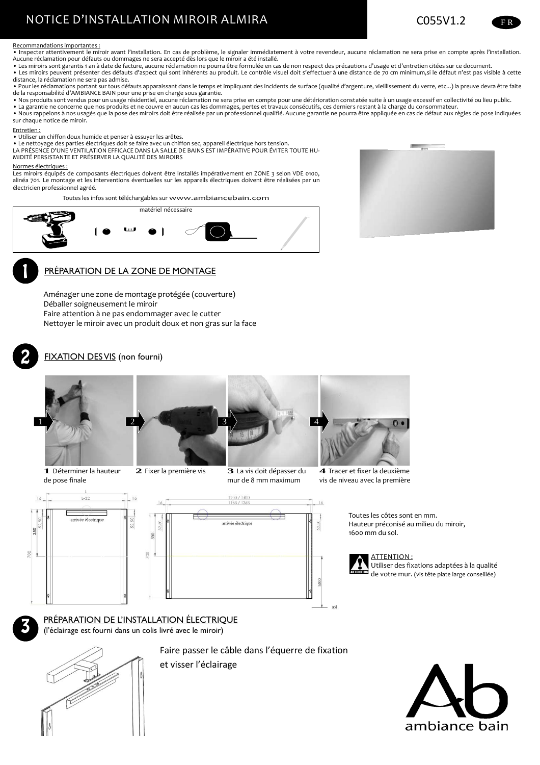# NOTICE D'INSTALLATION MIROIR ALMIRA





## Recommandations importantes :

• Inspecter attentivement le miroir avant l'installation. En cas de problème, le signaler immédiatement à votre revendeur, aucune réclamation ne sera prise en compte après l'installation.<br>Aucune réclamation pour défauts ou

• Les miroirs sont garantis 1 an à date de facture, aucune réclamation ne pourra être formulée en cas de non respect des précautions d'usage et d'entretien citées sur ce document. • Les miroirs peuvent présenter des défauts d'aspect qui sont inhérents au produit. Le contrôle visuel doit s'effectuer à une distance de 70 cm minimum,si le défaut n'est pas visible à cette

distance, la réclamation ne sera pas admise.

• Pour les réclamations portant sur tous défauts apparaissant dans le temps et impliquant des incidents de surface (qualité d'argenture, vieillissement du verre, etc...) la preuve devra être faite de la responsabilité d'AMBIANCE BAIN pour une prise en charge sous garantie.

• Nos produits sont vendus pour un usage résidentiel, aucune réclamation ne sera prise en compte pour une détérioration constatée suite à un usage excessif en collectivité ou lieu public.

• La garantie ne concerne que nos produits et ne couvre en aucun cas les dommages, pertes et travaux consécutifs, ces derniers restant à la charge du consommateur. • Nous rappelons à nos usagés que la pose des miroirs doit être réalisée par un professionnel qualifié. Aucune garantie ne pourra être appliquée en cas de défaut aux règles de pose indiquées

sur chaque notice de miroir.

## Entretien :

• Utiliser un chiffon doux humide et penser à essuyer les arêtes.

- Le nettoyage des parties électriques doit se faire avec un chiffon sec, appareil électrique hors tension.
- LA PRÉSENCE D'UNE VENTILATION EFFICACE DANS LA SALLE DE BAINS EST IMPÉRATIVE POUR ÉVITER TOUTE HU-MIDITÉ PERSISTANTE ET PRÉSERVER LA QUALITÉ DES MIROIRS
- Normes électriques :

Les miroirs équipés de composants électriques doivent être installés impérativement en ZONE 3 selon VDE 0100, alinéa 701. Le montage et les interventions éventuelles sur les appareils électriques doivent être réalisées par un électricien professionnel agréé.

Toutes les infos sont téléchargables sur [www.ambiancebain.com](http://www.ambiancebain.com/)





## PRÉPARATION DE LA ZONE DE MONTAGE

Aménager une zone de montage protégée (couverture) Déballer soigneusement le miroir Faire attention à ne pas endommager avec le cutter Nettoyer le miroir avec un produit doux et non gras sur la face



## **FIXATION DES VIS (non fourni)**



Toutes les côtes sont en mm. Hauteur préconisé au milieu du miroir, 1600 mm du sol.

> ATTENTION : Utiliser des fixations adaptées à la qualité de votre mur. (vis tête plate large conseillée)



# PRÉPARATION DE L'INSTALLATION ÉLECTRIQUE

(l'éclairage est fourni dans un colis livré avec le miroir)



Faire passer le câble dans l'équerre de fixation et visser l'éclairage

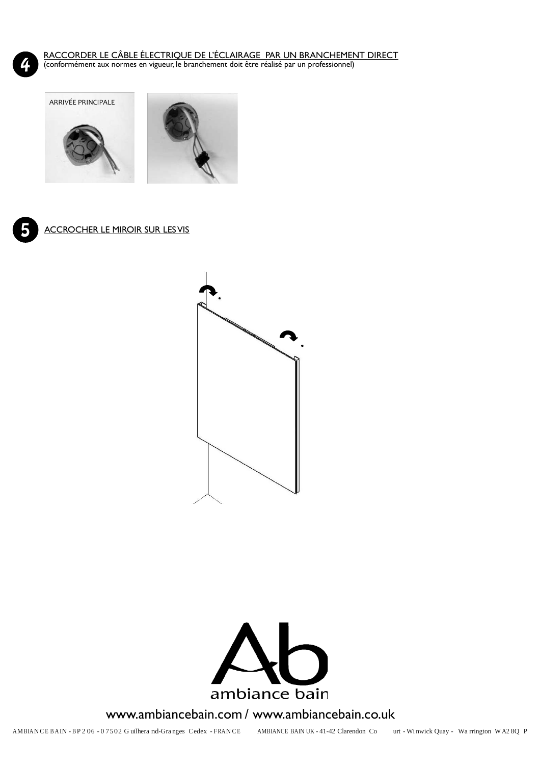

RACCORDER LE CÂBLE ÉLECTRIQUE DE L'ÉCLAIRAGE PAR UN BRANCHEMENT DIRECT (conformément aux normes en vigueur, le branchement doit être réalisé par un professionnel)







# **ACCROCHER LE MIROIR SUR LES VIS**





www.ambiancebain.com / www.ambiancebain.co.uk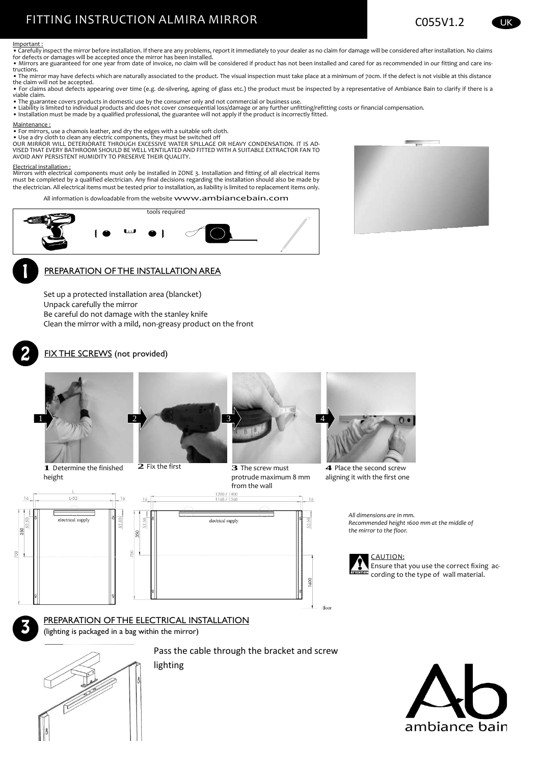# FITTING INSTRUCTION ALMIRA MIRROR

### **Important**

• Carefully inspect the mirror before installation. If there are any problems, report it immediately to your dealer as no claim for damage will be considered after installation. No claims for defects or damages will be accepted once the mirror has been installed. • Mirrors are guaranteed for one year from date of invoice, no claim will be considered if product has not been installed and cared for as recommended in our fitting and care ins-

tructions. • The mirror may have defects which are naturally associated to the product. The visual inspection must take place at a minimum of 70cm. If the defect is not visible at this distance

the claim will not be accepted. • For claims about defects appearing over time (e.g. de-silvering, ageing of glass etc.) the product must be inspected by a representative of Ambiance Bain to clarify if there is a viable claim.

- The guarantee covers products in domestic use by the consumer only and not commercial or business use.
- Liability is limited to individual products and does not cover consequential loss/damage or any further unfitting/refitting costs or financial compensation.<br>• Installation must be made by a qualified professional, the gu

#### Maintenance :

• For mirrors, use a chamois leather, and dry the edges with a suitable soft cloth.<br>• Use a dry cloth to clean any electric components, they must be switched off<br>OUR MIRROR WILL DETERIORATE THROUGH EXCESSIVE WATER SPILLAGE VISED THAT EVERY BATHROOM SHOULD BE WELL VENTILATED AND FITTED WITH A SUITABLE EXTRACTOR FAN TO AVOID ANY PERSISTENT HUMIDITY TO PRESERVE THEIR QUALITY.

Electrical installation :<br>Mirrors with electrical components must only be installed in ZONE 3. Installation and fitting of all electrical items<br>must be completed by a qualified electrician. Any final decisions regarding th the electrician. All electrical items must be tested prior to installation, as liability is limited to replacement items only.

All information is dowloadable from the website [www.ambiancebain.com](http://www.ambiancebain.com/)





C055V1.2

## PREPARATION OF THE INSTALLATION AREA

Set up a protected installation area (blancket) Unpack carefully the mirror Be careful do not damage with the stanley knife Clean the mirror with a mild, non-greasy product on the front



## FIX THE SCREWS (not provided)





**1** Determine the finished height







**4** Place the second screw aligning it with the first one

*All dimensions are in mm. Recommended height 1600 mm at the middle of the mirror to the floor.*



floor

CAUTION: Ensure that you use the correct fixing according to the type of wall material.

PREPARATION OF THE ELECTRICAL INSTALLATION (lighting is packaged in a bag within the mirror)



**1** ah the bracket and Pass the cable through the bracket and screw lighting